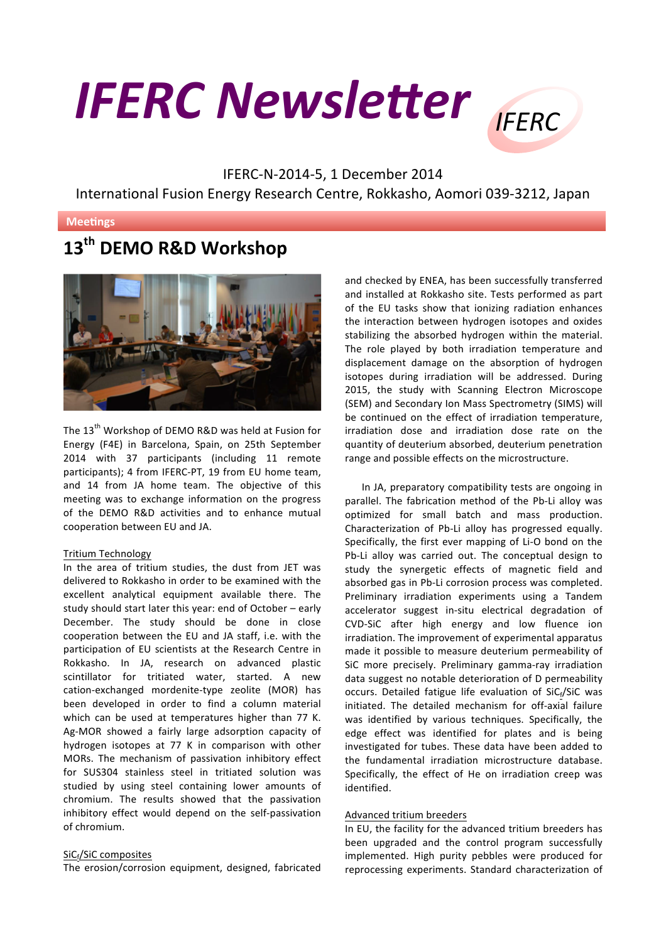# **IFERC Newsletter IFFRC**



IFERC-N-2014-5, 1 December 2014 International Fusion Energy Research Centre, Rokkasho, Aomori 039-3212, Japan

## **Meetings**

# **13th DEMO R&D Workshop**



The 13<sup>th</sup> Workshop of DEMO R&D was held at Fusion for Energy (F4E) in Barcelona, Spain, on 25th September 2014 with 37 participants (including 11 remote participants); 4 from IFERC-PT, 19 from EU home team, and 14 from JA home team. The objective of this meeting was to exchange information on the progress of the DEMO R&D activities and to enhance mutual cooperation between EU and JA.

### Tritium Technology

In the area of tritium studies, the dust from JET was delivered to Rokkasho in order to be examined with the excellent analytical equipment available there. The study should start later this year: end of October  $-$  early December. The study should be done in close cooperation between the EU and JA staff, i.e. with the participation of EU scientists at the Research Centre in Rokkasho. In JA, research on advanced plastic scintillator for tritiated water, started. A new cation-exchanged mordenite-type zeolite (MOR) has been developed in order to find a column material which can be used at temperatures higher than 77 K. Ag-MOR showed a fairly large adsorption capacity of hydrogen isotopes at 77 K in comparison with other MORs. The mechanism of passivation inhibitory effect for SUS304 stainless steel in tritiated solution was studied by using steel containing lower amounts of chromium. The results showed that the passivation inhibitory effect would depend on the self-passivation of chromium.

## SiCf/SiC composites

The erosion/corrosion equipment, designed, fabricated

and checked by ENEA, has been successfully transferred and installed at Rokkasho site. Tests performed as part of the EU tasks show that ionizing radiation enhances the interaction between hydrogen isotopes and oxides stabilizing the absorbed hydrogen within the material. The role played by both irradiation temperature and displacement damage on the absorption of hydrogen isotopes during irradiation will be addressed. During 2015, the study with Scanning Electron Microscope (SEM) and Secondary Ion Mass Spectrometry (SIMS) will be continued on the effect of irradiation temperature, irradiation dose and irradiation dose rate on the quantity of deuterium absorbed, deuterium penetration range and possible effects on the microstructure.

In JA, preparatory compatibility tests are ongoing in parallel. The fabrication method of the Pb-Li alloy was optimized for small batch and mass production. Characterization of Pb-Li alloy has progressed equally. Specifically, the first ever mapping of Li-O bond on the Pb-Li alloy was carried out. The conceptual design to study the synergetic effects of magnetic field and absorbed gas in Pb-Li corrosion process was completed. Preliminary irradiation experiments using a Tandem accelerator suggest in-situ electrical degradation of CVD-SiC after high energy and low fluence ion irradiation. The improvement of experimental apparatus made it possible to measure deuterium permeability of SiC more precisely. Preliminary gamma-ray irradiation data suggest no notable deterioration of D permeability occurs. Detailed fatigue life evaluation of  $SiC_f/SiC$  was initiated. The detailed mechanism for off-axial failure was identified by various techniques. Specifically, the edge effect was identified for plates and is being investigated for tubes. These data have been added to the fundamental irradiation microstructure database. Specifically, the effect of He on irradiation creep was identified.

### Advanced tritium breeders

In EU, the facility for the advanced tritium breeders has been upgraded and the control program successfully implemented. High purity pebbles were produced for reprocessing experiments. Standard characterization of